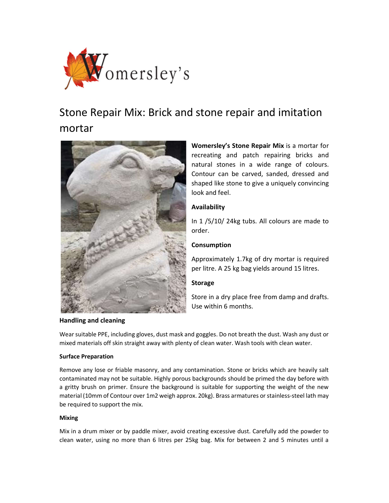

# Stone Repair Mix: Brick and stone repair and imitation mortar



Womersley's Stone Repair Mix is a mortar for recreating and patch repairing bricks and natural stones in a wide range of colours. Contour can be carved, sanded, dressed and shaped like stone to give a uniquely convincing look and feel.

# Availability

In 1 /5/10/ 24kg tubs. All colours are made to order.

# Consumption

Approximately 1.7kg of dry mortar is required per litre. A 25 kg bag yields around 15 litres.

## Storage

Store in a dry place free from damp and drafts. Use within 6 months.

## Handling and cleaning

Wear suitable PPE, including gloves, dust mask and goggles. Do not breath the dust. Wash any dust or mixed materials off skin straight away with plenty of clean water. Wash tools with clean water.

## Surface Preparation

Remove any lose or friable masonry, and any contamination. Stone or bricks which are heavily salt contaminated may not be suitable. Highly porous backgrounds should be primed the day before with a gritty brush on primer. Ensure the background is suitable for supporting the weight of the new material (10mm of Contour over 1m2 weigh approx. 20kg). Brass armatures or stainless-steel lath may be required to support the mix.

## Mixing

Mix in a drum mixer or by paddle mixer, avoid creating excessive dust. Carefully add the powder to clean water, using no more than 6 litres per 25kg bag. Mix for between 2 and 5 minutes until a